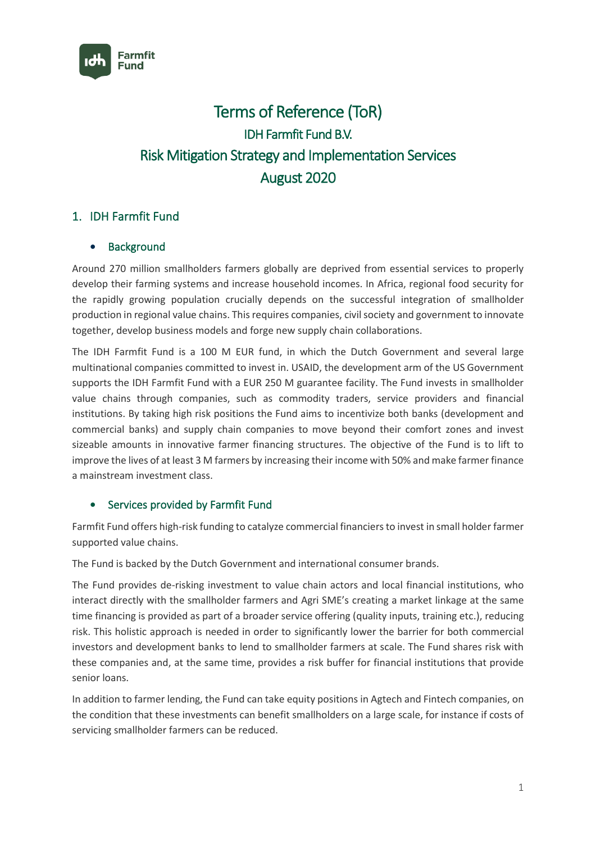

# Terms of Reference (ToR) IDH Farmfit Fund B.V. Risk Mitigation Strategy and Implementation Services August 2020

# 1. IDH Farmfit Fund

## **Background**

Around 270 million smallholders farmers globally are deprived from essential services to properly develop their farming systems and increase household incomes. In Africa, regional food security for the rapidly growing population crucially depends on the successful integration of smallholder production in regional value chains. This requires companies, civil society and government to innovate together, develop business models and forge new supply chain collaborations.

The IDH Farmfit Fund is a 100 M EUR fund, in which the Dutch Government and several large multinational companies committed to invest in. USAID, the development arm of the US Government supports the IDH Farmfit Fund with a EUR 250 M guarantee facility. The Fund invests in smallholder value chains through companies, such as commodity traders, service providers and financial institutions. By taking high risk positions the Fund aims to incentivize both banks (development and commercial banks) and supply chain companies to move beyond their comfort zones and invest sizeable amounts in innovative farmer financing structures. The objective of the Fund is to lift to improve the lives of at least 3 M farmers by increasing their income with 50% and make farmer finance a mainstream investment class.

## Services provided by Farmfit Fund

Farmfit Fund offers high-risk funding to catalyze commercial financiers to invest in small holder farmer supported value chains.

The Fund is backed by the Dutch Government and international consumer brands.

The Fund provides de-risking investment to value chain actors and local financial institutions, who interact directly with the smallholder farmers and Agri SME's creating a market linkage at the same time financing is provided as part of a broader service offering (quality inputs, training etc.), reducing risk. This holistic approach is needed in order to significantly lower the barrier for both commercial investors and development banks to lend to smallholder farmers at scale. The Fund shares risk with these companies and, at the same time, provides a risk buffer for financial institutions that provide senior loans.

In addition to farmer lending, the Fund can take equity positions in Agtech and Fintech companies, on the condition that these investments can benefit smallholders on a large scale, for instance if costs of servicing smallholder farmers can be reduced.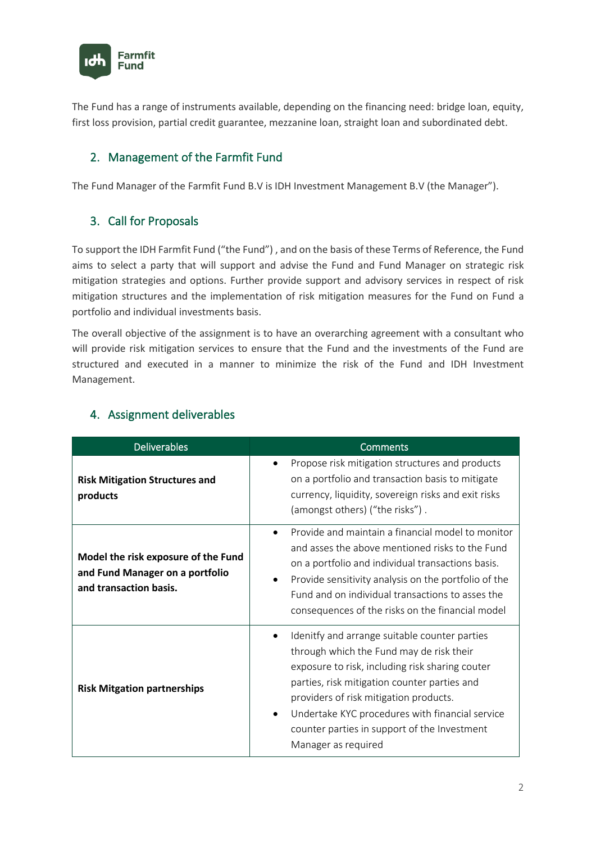

The Fund has a range of instruments available, depending on the financing need: bridge loan, equity, first loss provision, partial credit guarantee, mezzanine loan, straight loan and subordinated debt.

# 2. Management of the Farmfit Fund

The Fund Manager of the Farmfit Fund B.V is IDH Investment Management B.V (the Manager").

## 3. Call for Proposals

To support the IDH Farmfit Fund ("the Fund") , and on the basis of these Terms of Reference, the Fund aims to select a party that will support and advise the Fund and Fund Manager on strategic risk mitigation strategies and options. Further provide support and advisory services in respect of risk mitigation structures and the implementation of risk mitigation measures for the Fund on Fund a portfolio and individual investments basis.

The overall objective of the assignment is to have an overarching agreement with a consultant who will provide risk mitigation services to ensure that the Fund and the investments of the Fund are structured and executed in a manner to minimize the risk of the Fund and IDH Investment Management.

| <b>Deliverables</b>                                                                              | Comments                                                                                                                                                                                                                                                                                                                                                         |  |
|--------------------------------------------------------------------------------------------------|------------------------------------------------------------------------------------------------------------------------------------------------------------------------------------------------------------------------------------------------------------------------------------------------------------------------------------------------------------------|--|
| <b>Risk Mitigation Structures and</b><br>products                                                | Propose risk mitigation structures and products<br>on a portfolio and transaction basis to mitigate<br>currency, liquidity, sovereign risks and exit risks<br>(amongst others) ("the risks").                                                                                                                                                                    |  |
| Model the risk exposure of the Fund<br>and Fund Manager on a portfolio<br>and transaction basis. | Provide and maintain a financial model to monitor<br>and asses the above mentioned risks to the Fund<br>on a portfolio and individual transactions basis.<br>Provide sensitivity analysis on the portfolio of the<br>Fund and on individual transactions to asses the<br>consequences of the risks on the financial model                                        |  |
| <b>Risk Mitgation partnerships</b>                                                               | Idenitfy and arrange suitable counter parties<br>through which the Fund may de risk their<br>exposure to risk, including risk sharing couter<br>parties, risk mitigation counter parties and<br>providers of risk mitigation products.<br>Undertake KYC procedures with financial service<br>counter parties in support of the Investment<br>Manager as required |  |

## 4. Assignment deliverables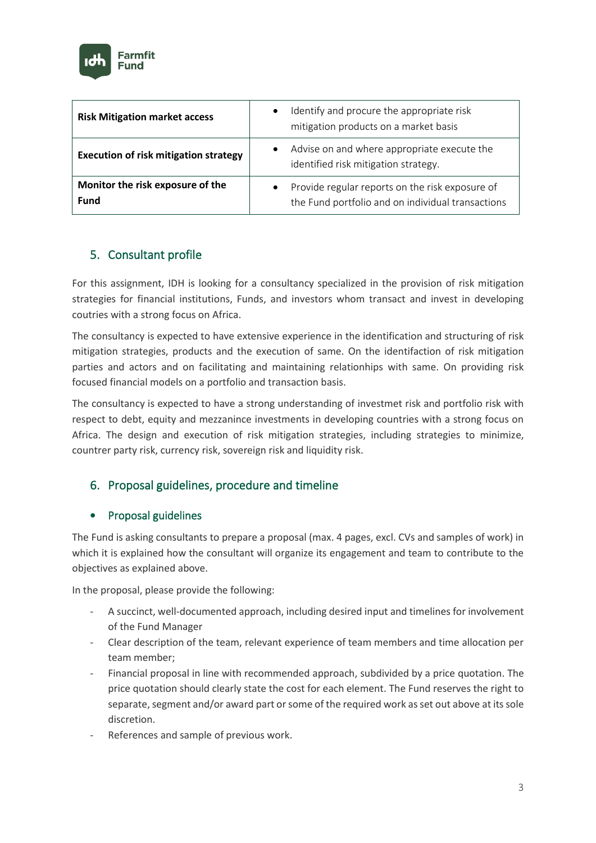

| <b>Risk Mitigation market access</b>            | Identify and procure the appropriate risk<br>$\bullet$<br>mitigation products on a market basis      |
|-------------------------------------------------|------------------------------------------------------------------------------------------------------|
| <b>Execution of risk mitigation strategy</b>    | Advise on and where appropriate execute the<br>$\bullet$<br>identified risk mitigation strategy.     |
| Monitor the risk exposure of the<br><b>Fund</b> | Provide regular reports on the risk exposure of<br>the Fund portfolio and on individual transactions |

# 5. Consultant profile

For this assignment, IDH is looking for a consultancy specialized in the provision of risk mitigation strategies for financial institutions, Funds, and investors whom transact and invest in developing coutries with a strong focus on Africa.

The consultancy is expected to have extensive experience in the identification and structuring of risk mitigation strategies, products and the execution of same. On the identifaction of risk mitigation parties and actors and on facilitating and maintaining relationhips with same. On providing risk focused financial models on a portfolio and transaction basis.

The consultancy is expected to have a strong understanding of investmet risk and portfolio risk with respect to debt, equity and mezzanince investments in developing countries with a strong focus on Africa. The design and execution of risk mitigation strategies, including strategies to minimize, countrer party risk, currency risk, sovereign risk and liquidity risk.

# 6. Proposal guidelines, procedure and timeline

## • Proposal guidelines

The Fund is asking consultants to prepare a proposal (max. 4 pages, excl. CVs and samples of work) in which it is explained how the consultant will organize its engagement and team to contribute to the objectives as explained above.

In the proposal, please provide the following:

- A succinct, well-documented approach, including desired input and timelines for involvement of the Fund Manager
- Clear description of the team, relevant experience of team members and time allocation per team member;
- Financial proposal in line with recommended approach, subdivided by a price quotation. The price quotation should clearly state the cost for each element. The Fund reserves the right to separate, segment and/or award part or some of the required work as set out above at its sole discretion.
- References and sample of previous work.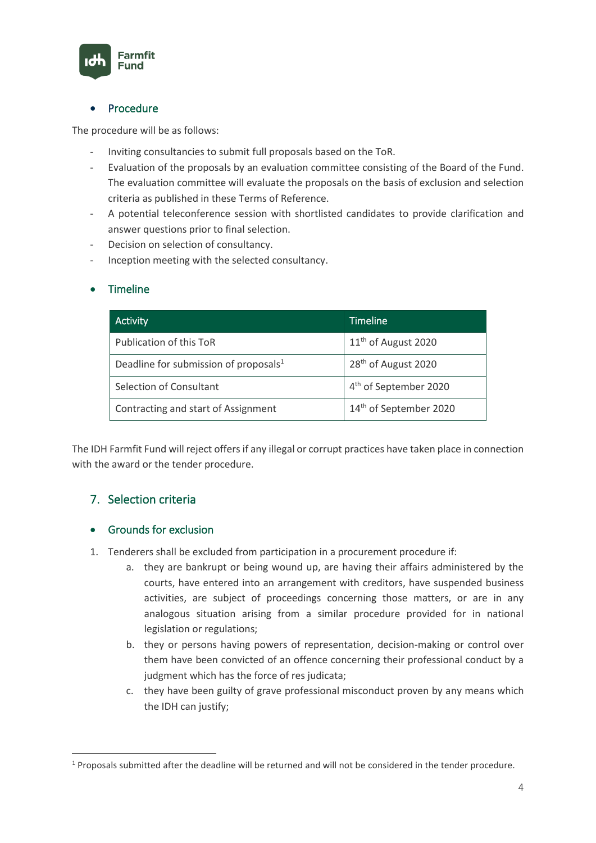

### • Procedure

The procedure will be as follows:

- Inviting consultancies to submit full proposals based on the ToR.
- Evaluation of the proposals by an evaluation committee consisting of the Board of the Fund. The evaluation committee will evaluate the proposals on the basis of exclusion and selection criteria as published in these Terms of Reference.
- A potential teleconference session with shortlisted candidates to provide clarification and answer questions prior to final selection.
- Decision on selection of consultancy.
- Inception meeting with the selected consultancy.

#### • Timeline

| <b>Activity</b>                                   | Timeline                           |
|---------------------------------------------------|------------------------------------|
| Publication of this ToR                           | 11 <sup>th</sup> of August 2020    |
| Deadline for submission of proposals <sup>1</sup> | 28 <sup>th</sup> of August 2020    |
| Selection of Consultant                           | 4 <sup>th</sup> of September 2020  |
| Contracting and start of Assignment               | 14 <sup>th</sup> of September 2020 |

The IDH Farmfit Fund will reject offers if any illegal or corrupt practices have taken place in connection with the award or the tender procedure.

## 7. Selection criteria

#### • Grounds for exclusion

- 1. Tenderers shall be excluded from participation in a procurement procedure if:
	- a. they are bankrupt or being wound up, are having their affairs administered by the courts, have entered into an arrangement with creditors, have suspended business activities, are subject of proceedings concerning those matters, or are in any analogous situation arising from a similar procedure provided for in national legislation or regulations;
	- b. they or persons having powers of representation, decision-making or control over them have been convicted of an offence concerning their professional conduct by a judgment which has the force of res judicata;
	- c. they have been guilty of grave professional misconduct proven by any means which the IDH can justify;

<sup>1</sup> Proposals submitted after the deadline will be returned and will not be considered in the tender procedure.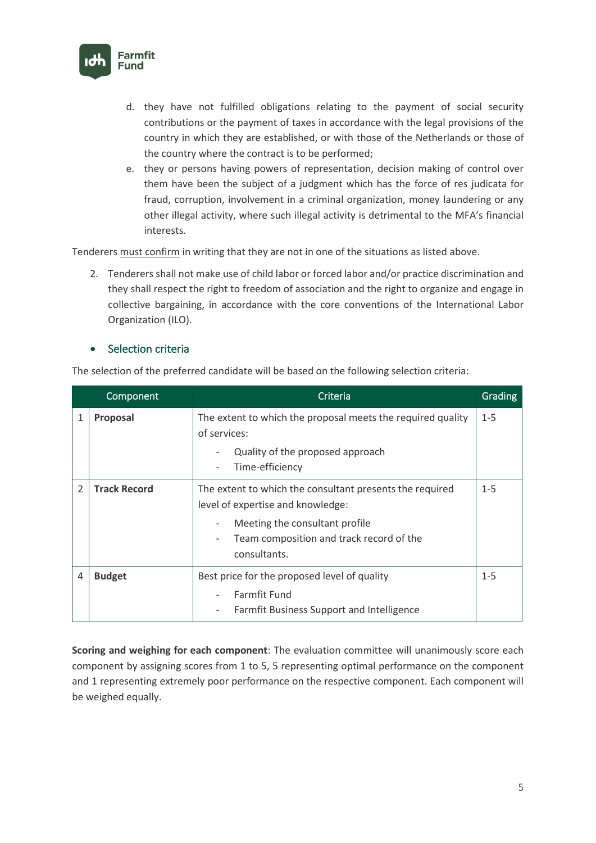

- d. they have not fulfilled obligations relating to the payment of social security contributions or the payment of taxes in accordance with the legal provisions of the country in which they are established, or with those of the Netherlands or those of the country where the contract is to be performed;
- e. they or persons having powers of representation, decision making of control over them have been the subject of a judgment which has the force of res judicata for fraud, corruption, involvement in a criminal organization, money laundering or any other illegal activity, where such illegal activity is detrimental to the MFA's financial interests.

Tenderers must confirm in writing that they are not in one of the situations as listed above.

2. Tenderers shall not make use of child labor or forced labor and/or practice discrimination and they shall respect the right to freedom of association and the right to organize and engage in collective bargaining, in accordance with the core conventions of the International Labor Organization (ILO).

#### • Selection criteria

The selection of the preferred candidate will be based on the following selection criteria:

|                          | Component           | Criteria                                                                                                                                                                                    | Grading |
|--------------------------|---------------------|---------------------------------------------------------------------------------------------------------------------------------------------------------------------------------------------|---------|
| 1                        | Proposal            | The extent to which the proposal meets the required quality<br>of services:<br>Quality of the proposed approach<br>Time-efficiency                                                          | $1 - 5$ |
| $\overline{\mathcal{L}}$ | <b>Track Record</b> | The extent to which the consultant presents the required<br>level of expertise and knowledge:<br>Meeting the consultant profile<br>Team composition and track record of the<br>consultants. | $1 - 5$ |
| 4                        | <b>Budget</b>       | Best price for the proposed level of quality<br><b>Farmfit Fund</b><br>Farmfit Business Support and Intelligence                                                                            | $1 - 5$ |

**Scoring and weighing for each component**: The evaluation committee will unanimously score each component by assigning scores from 1 to 5, 5 representing optimal performance on the component and 1 representing extremely poor performance on the respective component. Each component will be weighed equally.